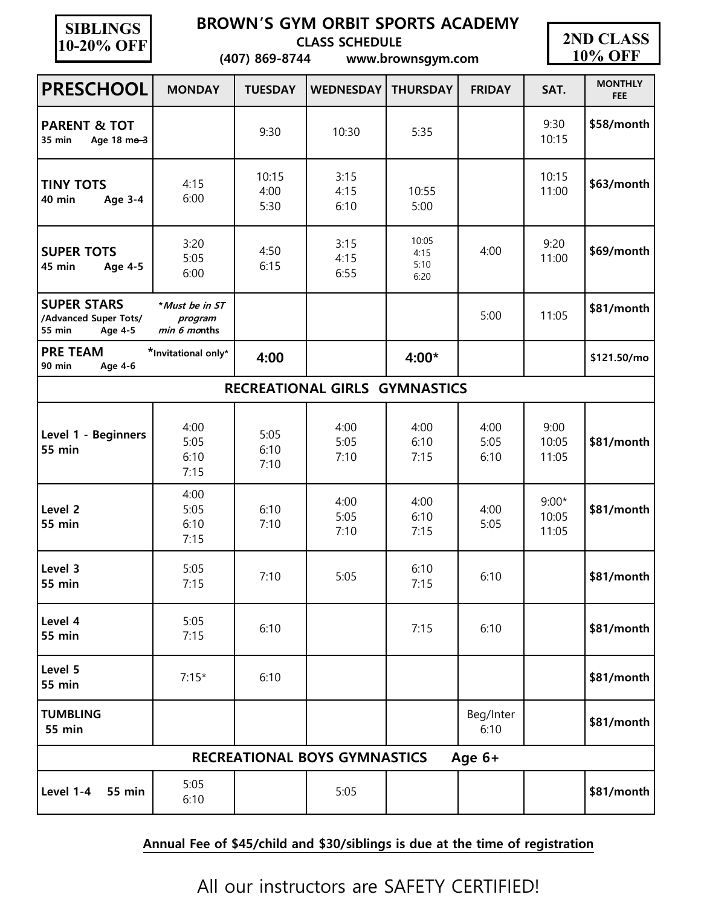| <b>SIBLINGS</b> |
|-----------------|
| 10-20% OFF      |

## **BROWN'S GYM ORBIT SPORTS ACADEMY**

 **CLASS SCHEDULE**

 **(407) 869-8744 www.brownsgym.com**



| <b>PRESCHOOL</b>                                                        | <b>MONDAY</b>                             | <b>TUESDAY</b>        | <b>WEDNESDAY</b>              | <b>THURSDAY</b>               | <b>FRIDAY</b>        | SAT.                      | <b>MONTHLY</b><br><b>FEE</b> |  |  |
|-------------------------------------------------------------------------|-------------------------------------------|-----------------------|-------------------------------|-------------------------------|----------------------|---------------------------|------------------------------|--|--|
| <b>PARENT &amp; TOT</b><br>35 min<br>Age 18 me-3                        |                                           | 9:30                  | 10:30                         | 5:35                          |                      | 9:30<br>10:15             | \$58/month                   |  |  |
| <b>TINY TOTS</b><br>40 min<br>Age 3-4                                   | 4:15<br>6:00                              | 10:15<br>4:00<br>5:30 | 3:15<br>4:15<br>6:10          | 10:55<br>5:00                 |                      | 10:15<br>11:00            | \$63/month                   |  |  |
| <b>SUPER TOTS</b><br>45 min<br><b>Age 4-5</b>                           | 3:20<br>5:05<br>6:00                      | 4:50<br>6:15          | 3:15<br>4:15<br>6:55          | 10:05<br>4:15<br>5:10<br>6:20 | 4:00                 | 9:20<br>11:00             | \$69/month                   |  |  |
| <b>SUPER STARS</b><br>/Advanced Super Tots/<br><b>55 min</b><br>Age 4-5 | *Must be in ST<br>program<br>min 6 months |                       |                               |                               | 5:00                 | 11:05                     | \$81/month                   |  |  |
| <b>PRE TEAM</b><br>90 min<br>Age 4-6                                    | *Invitational only*                       | 4:00                  |                               | 4:00*                         |                      |                           | \$121.50/mo                  |  |  |
|                                                                         |                                           |                       | RECREATIONAL GIRLS GYMNASTICS |                               |                      |                           |                              |  |  |
| Level 1 - Beginners<br><b>55 min</b>                                    | 4:00<br>5:05<br>6:10<br>7:15              | 5:05<br>6:10<br>7:10  | 4:00<br>5:05<br>7:10          | 4:00<br>6:10<br>7:15          | 4:00<br>5:05<br>6:10 | 9:00<br>10:05<br>11:05    | \$81/month                   |  |  |
| Level <sub>2</sub><br><b>55 min</b>                                     | 4:00<br>5:05<br>6:10<br>7:15              | 6:10<br>7:10          | 4:00<br>5:05<br>7:10          | 4:00<br>6:10<br>7:15          | 4:00<br>5:05         | $9:00*$<br>10:05<br>11:05 | \$81/month                   |  |  |
| Level 3<br><b>55 min</b>                                                | 5:05<br>7:15                              | 7:10                  | 5:05                          | 6:10<br>7:15                  | 6:10                 |                           | \$81/month                   |  |  |
| Level 4<br><b>55 min</b>                                                | 5:05<br>7:15                              | 6:10                  |                               | 7:15                          | 6:10                 |                           | \$81/month                   |  |  |
| Level 5<br><b>55 min</b>                                                | $7:15*$                                   | 6:10                  |                               |                               |                      |                           | \$81/month                   |  |  |
| <b>TUMBLING</b><br><b>55 min</b>                                        |                                           |                       |                               |                               | Beg/Inter<br>6:10    |                           | \$81/month                   |  |  |
| Age 6+<br><b>RECREATIONAL BOYS GYMNASTICS</b>                           |                                           |                       |                               |                               |                      |                           |                              |  |  |
| Level 1-4<br><b>55 min</b>                                              | 5:05<br>6:10                              |                       | 5:05                          |                               |                      |                           | \$81/month                   |  |  |

## **Annual Fee of \$45/child and \$30/siblings is due at the time of registration**

All our instructors are SAFETY CERTIFIED!